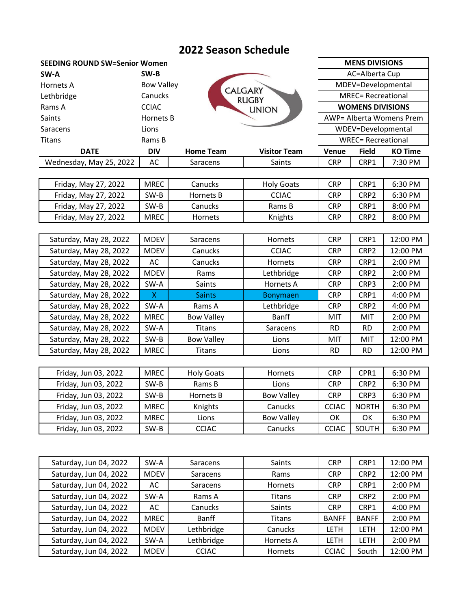# **2022 Season Schedule**

| <b>SEEDING ROUND SW=Senior Women</b> |                   |                  |                     |                           | <b>MENS DIVISIONS</b>    |                |  |
|--------------------------------------|-------------------|------------------|---------------------|---------------------------|--------------------------|----------------|--|
| SW-A                                 | SW-B              |                  |                     | AC=Alberta Cup            |                          |                |  |
| Hornets A                            | <b>Bow Valley</b> |                  | <b>CALGARY</b>      | MDEV=Developmental        |                          |                |  |
| Lethbridge                           | Canucks           |                  | <b>RUGBY</b>        | <b>MREC= Recreational</b> |                          |                |  |
| Rams A                               | <b>CCIAC</b>      |                  | <b>UNION</b>        |                           | <b>WOMENS DIVISIONS</b>  |                |  |
| Saints                               | Hornets B         |                  |                     |                           | AWP= Alberta Womens Prem |                |  |
| Saracens                             | Lions             |                  | WDEV=Developmental  |                           |                          |                |  |
| Titans                               | Rams B            |                  |                     | <b>WREC= Recreational</b> |                          |                |  |
| <b>DATE</b>                          | <b>DIV</b>        | <b>Home Team</b> | <b>Visitor Team</b> | Venue                     | <b>Field</b>             | <b>KO Time</b> |  |
| Wednesday, May 25, 2022              | AC                | Saracens         | Saints              | <b>CRP</b>                | CRP1                     | 7:30 PM        |  |
|                                      |                   |                  |                     |                           |                          |                |  |
| Friday, May 27, 2022                 | <b>MREC</b>       | Canucks          | <b>Holy Goats</b>   | <b>CRP</b>                | CRP1                     | 6:30 PM        |  |
| Friday, May 27, 2022                 | SW-B              | Hornets B        | <b>CCIAC</b>        | <b>CRP</b>                | CRP <sub>2</sub>         | 6:30 PM        |  |

| Friday, May 27, 2022   | <b>MREC</b> | <b>Hornets</b>    | Knights         | <b>CRP</b> | CRP <sub>2</sub> | 8:00 PM   |
|------------------------|-------------|-------------------|-----------------|------------|------------------|-----------|
|                        |             |                   |                 |            |                  |           |
| Saturday, May 28, 2022 | <b>MDEV</b> | Saracens          | <b>Hornets</b>  | <b>CRP</b> | CRP1             | 12:00 PM  |
| Saturday, May 28, 2022 | <b>MDEV</b> | <b>Canucks</b>    | <b>CCIAC</b>    | <b>CRP</b> | CRP <sub>2</sub> | 12:00 PM  |
| Saturday, May 28, 2022 | AC          | Canucks           | Hornets         | <b>CRP</b> | CRP1             | $2:00$ PM |
| Saturday, May 28, 2022 | <b>MDEV</b> | Rams              | Lethbridge      | <b>CRP</b> | CRP <sub>2</sub> | $2:00$ PM |
| Saturday, May 28, 2022 | SW-A        | <b>Saints</b>     | Hornets A       | <b>CRP</b> | CRP3             | 2:00 PM   |
| Saturday, May 28, 2022 | X           | <b>Saints</b>     | <b>Bonymaen</b> | <b>CRP</b> | CRP1             | $4:00$ PM |
| Saturday, May 28, 2022 | SW-A        | Rams A            | Lethbridge      | <b>CRP</b> | CRP <sub>2</sub> | $4:00$ PM |
| Saturday, May 28, 2022 | <b>MREC</b> | <b>Bow Valley</b> | Banff           | <b>MIT</b> | <b>MIT</b>       | $2:00$ PM |
| Saturday, May 28, 2022 | SW-A        | Titans            | Saracens        | <b>RD</b>  | RD.              | $2:00$ PM |
| Saturday, May 28, 2022 | SW-B        | <b>Bow Valley</b> | Lions           | MIT        | <b>MIT</b>       | 12:00 PM  |

Friday, May 27, 2022  $\vert$  SW-B  $\vert$  Canucks  $\vert$  Rams B  $\vert$  CRP  $\vert$  CRP1  $\vert$  8:00 PM

| Friday, Jun 03, 2022 | <b>MREC</b> | <b>Holy Goats</b> | Hornets           | <b>CRP</b>   | CPR <sub>1</sub> | 6:30 PM |
|----------------------|-------------|-------------------|-------------------|--------------|------------------|---------|
| Friday, Jun 03, 2022 | $SW-B$      | Rams B            | Lions             | <b>CRP</b>   | CRP <sub>2</sub> | 6:30 PM |
| Friday, Jun 03, 2022 | SW-B        | Hornets B         | <b>Bow Valley</b> | <b>CRP</b>   | CRP3             | 6:30 PM |
| Friday, Jun 03, 2022 | <b>MREC</b> | Knights           | <b>Canucks</b>    | <b>CCIAC</b> | <b>NORTH</b>     | 6:30 PM |
| Friday, Jun 03, 2022 | <b>MREC</b> | Lions             | <b>Bow Valley</b> | OK           | OK               | 6:30 PM |
| Friday, Jun 03, 2022 | SW-B        | <b>CCIAC</b>      | Canucks           | <b>CCIAC</b> | SOUTH            | 6:30 PM |

Saturday, May 28, 2022 | MREC | Titans | Lions | RD | RD | 12:00 PM

| Saturday, Jun 04, 2022 | SW-A        | Saracens       | <b>Saints</b>  | <b>CRP</b>   | CRP1             | 12:00 PM  |
|------------------------|-------------|----------------|----------------|--------------|------------------|-----------|
| Saturday, Jun 04, 2022 | <b>MDEV</b> | Saracens       | Rams           | <b>CRP</b>   | CRP <sub>2</sub> | 12:00 PM  |
| Saturday, Jun 04, 2022 | AC          | Saracens       | <b>Hornets</b> | <b>CRP</b>   | CRP1             | $2:00$ PM |
| Saturday, Jun 04, 2022 | SW-A        | Rams A         | Titans         | <b>CRP</b>   | CRP <sub>2</sub> | $2:00$ PM |
| Saturday, Jun 04, 2022 | AC          | <b>Canucks</b> | <b>Saints</b>  | <b>CRP</b>   | CRP1             | $4:00$ PM |
| Saturday, Jun 04, 2022 | <b>MREC</b> | Banff          | <b>Titans</b>  | <b>BANFF</b> | <b>BANFF</b>     | $2:00$ PM |
| Saturday, Jun 04, 2022 | <b>MDEV</b> | Lethbridge     | Canucks        | LETH         | LETH             | 12:00 PM  |
| Saturday, Jun 04, 2022 | SW-A        | Lethbridge     | Hornets A      | LETH         | LETH             | $2:00$ PM |
| Saturday, Jun 04, 2022 | <b>MDEV</b> | <b>CCIAC</b>   | <b>Hornets</b> | <b>CCIAC</b> | South            | 12:00 PM  |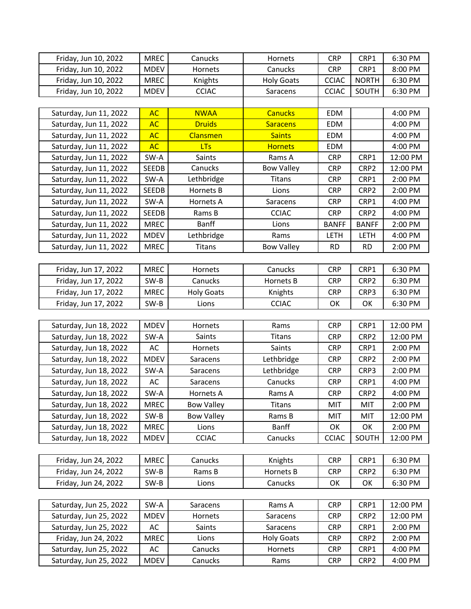| Friday, Jun 10, 2022   | <b>MREC</b>  | Canucks           | Hornets           | <b>CRP</b>   | CRP1             | 6:30 PM  |
|------------------------|--------------|-------------------|-------------------|--------------|------------------|----------|
| Friday, Jun 10, 2022   | <b>MDEV</b>  | Hornets           | Canucks           | <b>CRP</b>   | CRP1             | 8:00 PM  |
| Friday, Jun 10, 2022   | <b>MREC</b>  | Knights           | <b>Holy Goats</b> | <b>CCIAC</b> | <b>NORTH</b>     | 6:30 PM  |
| Friday, Jun 10, 2022   | <b>MDEV</b>  | <b>CCIAC</b>      | Saracens          | <b>CCIAC</b> | SOUTH            | 6:30 PM  |
|                        |              |                   |                   |              |                  |          |
| Saturday, Jun 11, 2022 | <b>AC</b>    | <b>NWAA</b>       | <b>Canucks</b>    | <b>EDM</b>   |                  | 4:00 PM  |
| Saturday, Jun 11, 2022 | <b>AC</b>    | <b>Druids</b>     | <b>Saracens</b>   | <b>EDM</b>   |                  | 4:00 PM  |
| Saturday, Jun 11, 2022 | <b>AC</b>    | Clansmen          | <b>Saints</b>     | EDM          |                  | 4:00 PM  |
| Saturday, Jun 11, 2022 | <b>AC</b>    | <b>LTs</b>        | <b>Hornets</b>    | <b>EDM</b>   |                  | 4:00 PM  |
| Saturday, Jun 11, 2022 | SW-A         | Saints            | Rams A            | <b>CRP</b>   | CRP1             | 12:00 PM |
| Saturday, Jun 11, 2022 | <b>SEEDB</b> | Canucks           | <b>Bow Valley</b> | <b>CRP</b>   | CRP2             | 12:00 PM |
| Saturday, Jun 11, 2022 | SW-A         | Lethbridge        | Titans            | <b>CRP</b>   | CRP1             | 2:00 PM  |
| Saturday, Jun 11, 2022 | <b>SEEDB</b> | Hornets B         | Lions             | <b>CRP</b>   | CRP2             | 2:00 PM  |
| Saturday, Jun 11, 2022 | SW-A         | <b>Hornets A</b>  | Saracens          | <b>CRP</b>   | CRP1             | 4:00 PM  |
| Saturday, Jun 11, 2022 | <b>SEEDB</b> | Rams B            | <b>CCIAC</b>      | <b>CRP</b>   | CRP2             | 4:00 PM  |
| Saturday, Jun 11, 2022 | <b>MREC</b>  | <b>Banff</b>      | Lions             | <b>BANFF</b> | <b>BANFF</b>     | 2:00 PM  |
| Saturday, Jun 11, 2022 | MDEV         | Lethbridge        | Rams              | LETH         | LETH             | 4:00 PM  |
| Saturday, Jun 11, 2022 | <b>MREC</b>  | <b>Titans</b>     | <b>Bow Valley</b> | <b>RD</b>    | <b>RD</b>        | 2:00 PM  |
|                        |              |                   |                   |              |                  |          |
| Friday, Jun 17, 2022   | <b>MREC</b>  | Hornets           | Canucks           | <b>CRP</b>   | CRP1             | 6:30 PM  |
| Friday, Jun 17, 2022   | SW-B         | Canucks           | Hornets B         | <b>CRP</b>   | CRP2             | 6:30 PM  |
| Friday, Jun 17, 2022   | <b>MREC</b>  | <b>Holy Goats</b> | Knights           | <b>CRP</b>   | CRP3             | 6:30 PM  |
| Friday, Jun 17, 2022   | SW-B         | Lions             | <b>CCIAC</b>      | OK           | OK               | 6:30 PM  |
|                        |              |                   |                   |              |                  |          |
| Saturday, Jun 18, 2022 | <b>MDEV</b>  | Hornets           | Rams              | <b>CRP</b>   | CRP1             | 12:00 PM |
| Saturday, Jun 18, 2022 | SW-A         | Saints            | Titans            | <b>CRP</b>   | CRP2             | 12:00 PM |
| Saturday, Jun 18, 2022 | AC           | Hornets           | Saints            | <b>CRP</b>   | CRP1             | 2:00 PM  |
| Saturday, Jun 18, 2022 | <b>MDEV</b>  | Saracens          | Lethbridge        | <b>CRP</b>   | CRP2             | 2:00 PM  |
| Saturday, Jun 18, 2022 | SW-A         | Saracens          | Lethbridge        | <b>CRP</b>   | CRP3             | 2:00 PM  |
| Saturday, Jun 18, 2022 | AC           | Saracens          | Canucks           | <b>CRP</b>   | CRP1             | 4:00 PM  |
| Saturday, Jun 18, 2022 | SW-A         | Hornets A         | Rams A            | <b>CRP</b>   | CRP2             | 4:00 PM  |
| Saturday, Jun 18, 2022 | <b>MREC</b>  | <b>Bow Valley</b> | Titans            | MIT          | MIT              | 2:00 PM  |
| Saturday, Jun 18, 2022 | SW-B         | <b>Bow Valley</b> | Rams B            | MIT          | MIT              | 12:00 PM |
| Saturday, Jun 18, 2022 | <b>MREC</b>  | Lions             | <b>Banff</b>      | OK           | OK               | 2:00 PM  |
| Saturday, Jun 18, 2022 | <b>MDEV</b>  | <b>CCIAC</b>      | Canucks           | <b>CCIAC</b> | SOUTH            | 12:00 PM |
|                        |              |                   |                   |              |                  |          |
| Friday, Jun 24, 2022   | <b>MREC</b>  | Canucks           | Knights           | <b>CRP</b>   | CRP1             | 6:30 PM  |
| Friday, Jun 24, 2022   | SW-B         | Rams B            | Hornets B         | <b>CRP</b>   | CRP <sub>2</sub> | 6:30 PM  |
| Friday, Jun 24, 2022   | SW-B         | Lions             | Canucks           | OK           | OK               | 6:30 PM  |
|                        |              |                   |                   |              |                  |          |
| Saturday, Jun 25, 2022 | SW-A         | Saracens          | Rams A            | <b>CRP</b>   | CRP1             | 12:00 PM |
| Saturday, Jun 25, 2022 | <b>MDEV</b>  | Hornets           | Saracens          | <b>CRP</b>   | CRP2             | 12:00 PM |
| Saturday, Jun 25, 2022 | AC           | Saints            | Saracens          | <b>CRP</b>   | CRP1             | 2:00 PM  |
| Friday, Jun 24, 2022   | <b>MREC</b>  | Lions             | <b>Holy Goats</b> | <b>CRP</b>   | CRP2             | 2:00 PM  |
| Saturday, Jun 25, 2022 | AC           | Canucks           | Hornets           | <b>CRP</b>   | CRP1             | 4:00 PM  |
| Saturday, Jun 25, 2022 | <b>MDEV</b>  | Canucks           | Rams              | <b>CRP</b>   | CRP2             | 4:00 PM  |
|                        |              |                   |                   |              |                  |          |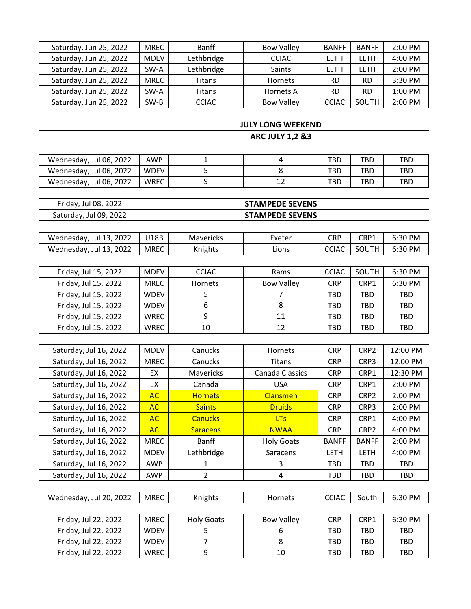| Saturday, Jun 25, 2022 | <b>MREC</b> | <b>Banff</b> | <b>Bow Valley</b> | <b>BANFF</b> | <b>BANFF</b> | $2:00$ PM |
|------------------------|-------------|--------------|-------------------|--------------|--------------|-----------|
| Saturday, Jun 25, 2022 | <b>MDEV</b> | Lethbridge   | <b>CCIAC</b>      | LETH         | LETH         | $4:00$ PM |
| Saturday, Jun 25, 2022 | SW-A        | Lethbridge   | Saints            | LETH         | <b>LETH</b>  | 2:00 PM   |
| Saturday, Jun 25, 2022 | <b>MREC</b> | Titans       | <b>Hornets</b>    | RD           | RD           | 3:30 PM   |
| Saturday, Jun 25, 2022 | SW-A        | Titans       | Hornets A         | <b>RD</b>    | <b>RD</b>    | $1:00$ PM |
| Saturday, Jun 25, 2022 | $SW-B$      | <b>CCIAC</b> | <b>Bow Valley</b> | <b>CCIAC</b> | SOUTH        | 2:00 PM   |

### **JULY LONG WEEKEND**

**ARC JULY 1,2 &3**

| Wednesday, Jul 06, 2022 | <b>AWP</b>  |  | TBD | TBD. | TBC |
|-------------------------|-------------|--|-----|------|-----|
| Wednesday, Jul 06, 2022 | <b>WDEV</b> |  | TBD | TBD  | TBL |
| Wednesday, Jul 06, 2022 | WREC        |  | TBD | TBD  | TBL |

| Friday, Jul 08, 2022   | <b>STAMPEDE SEVENS</b> |
|------------------------|------------------------|
| Saturday, Jul 09, 2022 | <b>STAMPEDE SEVENS</b> |

| 2022<br>Wednesday, Jul 13,     | U18B | Mavericks | Exeter | CRP         | CRP1                 | $\Omega$<br>- PM<br>د اکت |
|--------------------------------|------|-----------|--------|-------------|----------------------|---------------------------|
| 2022<br>Wednesday, Jul<br>-13. | MREC | Knights   | Lions  | <b>CCIA</b> | <b>ITH</b><br>$\sim$ | 6:30 PM                   |

| Friday, Jul 15, 2022 | <b>MDEV</b> | <b>CCIAC</b>   | Rams              | <b>CCIAC</b> | SOUTH      | 6:30 PM    |
|----------------------|-------------|----------------|-------------------|--------------|------------|------------|
| Friday, Jul 15, 2022 | MREC        | <b>Hornets</b> | <b>Bow Valley</b> | <b>CRP</b>   | CRP1       | 6:30 PM    |
| Friday, Jul 15, 2022 | <b>WDEV</b> |                |                   | TBD          | TBD        | <b>TBD</b> |
| Friday, Jul 15, 2022 | <b>WDEV</b> | 6              |                   | TBD          | TBD        | <b>TBD</b> |
| Friday, Jul 15, 2022 | <b>WREC</b> | q              | 11                | TBD          | <b>TBD</b> | <b>TBD</b> |
| Friday, Jul 15, 2022 | <b>WREC</b> | 10             | 12                | TBD          | TBD        | <b>TBD</b> |

| Saturday, Jul 16, 2022 | <b>MDEV</b> | Canucks          | <b>Hornets</b>    | <b>CRP</b>   | CRP <sub>2</sub> | 12:00 PM   |
|------------------------|-------------|------------------|-------------------|--------------|------------------|------------|
| Saturday, Jul 16, 2022 | <b>MREC</b> | <b>Canucks</b>   | Titans            | <b>CRP</b>   | CRP3             | 12:00 PM   |
| Saturday, Jul 16, 2022 | EX          | <b>Mavericks</b> | Canada Classics   | <b>CRP</b>   | CRP1             | 12:30 PM   |
| Saturday, Jul 16, 2022 | EX          | Canada           | <b>USA</b>        | <b>CRP</b>   | CRP1             | $2:00$ PM  |
| Saturday, Jul 16, 2022 | AC          | <b>Hornets</b>   | <b>Clansmen</b>   | <b>CRP</b>   | CRP <sub>2</sub> | 2:00 PM    |
| Saturday, Jul 16, 2022 | AC          | <b>Saints</b>    | <b>Druids</b>     | <b>CRP</b>   | CRP3             | $2:00$ PM  |
| Saturday, Jul 16, 2022 | AC          | <b>Canucks</b>   | <b>LTs</b>        | <b>CRP</b>   | CRP1             | $4:00$ PM  |
| Saturday, Jul 16, 2022 | AC          | <b>Saracens</b>  | <b>NWAA</b>       | <b>CRP</b>   | CRP <sub>2</sub> | 4:00 PM    |
| Saturday, Jul 16, 2022 | <b>MREC</b> | <b>Banff</b>     | <b>Holy Goats</b> | <b>BANFF</b> | <b>BANFF</b>     | $2:00$ PM  |
| Saturday, Jul 16, 2022 | <b>MDEV</b> | Lethbridge       | Saracens          | LETH         | <b>LETH</b>      | 4:00 PM    |
| Saturday, Jul 16, 2022 | <b>AWP</b>  |                  | 3                 | TBD          | TBD              | <b>TBD</b> |
| Saturday, Jul 16, 2022 | <b>AWP</b>  | $\overline{2}$   | 4                 | TBD          | <b>TBD</b>       | TBD        |
|                        |             |                  |                   |              |                  |            |

|  | 2022<br>Jul 20.<br>Wednesday, | <b>MREC</b> | Knights | Hornets | ---<br>CCIAC | outhد | $o:30$ PM |
|--|-------------------------------|-------------|---------|---------|--------------|-------|-----------|
|--|-------------------------------|-------------|---------|---------|--------------|-------|-----------|

| Friday, Jul 22, 2022 | <b>MREC</b> | <b>Holy Goats</b> | <b>Bow Valley</b> | <b>CRP</b> | CRP1 | $6:30$ PM  |
|----------------------|-------------|-------------------|-------------------|------------|------|------------|
| Friday, Jul 22, 2022 | <b>WDEV</b> |                   |                   | TBD        | TBD  | TBD        |
| Friday, Jul 22, 2022 | <b>WDEV</b> |                   |                   | TBD        | TBD  | TBD        |
| Friday, Jul 22, 2022 | <b>WREC</b> |                   | 10                | TBD        | TBD  | <b>TBD</b> |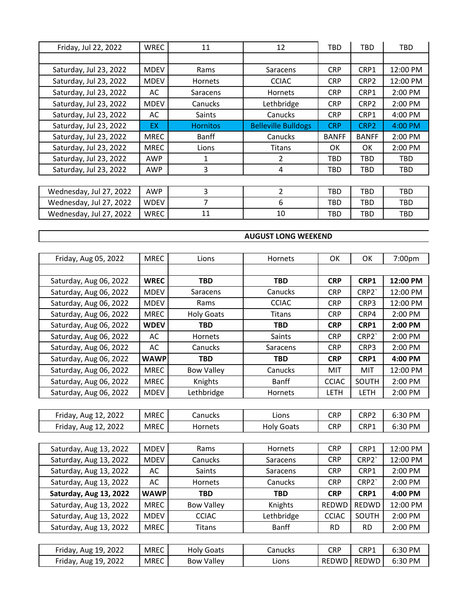| Friday, Jul 22, 2022    | <b>WREC</b> | 11              | 12                         | TBD          | TBD              | TBD        |
|-------------------------|-------------|-----------------|----------------------------|--------------|------------------|------------|
|                         |             |                 |                            |              |                  |            |
| Saturday, Jul 23, 2022  | <b>MDEV</b> | Rams            | Saracens                   | <b>CRP</b>   | CRP1             | 12:00 PM   |
| Saturday, Jul 23, 2022  | <b>MDEV</b> | <b>Hornets</b>  | <b>CCIAC</b>               | <b>CRP</b>   | CRP <sub>2</sub> | 12:00 PM   |
| Saturday, Jul 23, 2022  | AC          | Saracens        | <b>Hornets</b>             | <b>CRP</b>   | CRP1             | 2:00 PM    |
| Saturday, Jul 23, 2022  | <b>MDEV</b> | Canucks         | Lethbridge                 | <b>CRP</b>   | CRP <sub>2</sub> | 2:00 PM    |
| Saturday, Jul 23, 2022  | AC          | <b>Saints</b>   | Canucks                    | <b>CRP</b>   | CRP1             | 4:00 PM    |
| Saturday, Jul 23, 2022  | <b>EX</b>   | <b>Hornitos</b> | <b>Belleville Bulldogs</b> | <b>CRP</b>   | CRP <sub>2</sub> | 4:00 PM    |
| Saturday, Jul 23, 2022  | <b>MREC</b> | Banff           | Canucks                    | <b>BANFF</b> | <b>BANFF</b>     | 2:00 PM    |
| Saturday, Jul 23, 2022  | <b>MREC</b> | Lions           | Titans                     | OK.          | OK.              | 2:00 PM    |
| Saturday, Jul 23, 2022  | <b>AWP</b>  | 1               | $\mathfrak{p}$             | TBD          | TBD              | <b>TBD</b> |
| Saturday, Jul 23, 2022  | AWP         | 3               | 4                          | TBD          | TBD              | TBD        |
|                         |             |                 |                            |              |                  |            |
| Wednesday, Jul 27, 2022 | <b>AWP</b>  | 3               | $\overline{2}$             | TBD          | TBD              | <b>TBD</b> |
| Wednesday, Jul 27, 2022 | <b>WDEV</b> | 7               | 6                          | TBD          | TBD              | <b>TBD</b> |
| Wednesday, Jul 27, 2022 | WREC        | 11              | 10                         | TBD          | TBD              | TBD        |

#### **AUGUST LONG WEEKEND**

| Friday, Aug 05, 2022   | <b>MREC</b> | Lions             | <b>Hornets</b> | ОΚ           | 0K          | 7:00pm    |
|------------------------|-------------|-------------------|----------------|--------------|-------------|-----------|
|                        |             |                   |                |              |             |           |
| Saturday, Aug 06, 2022 | <b>WREC</b> | <b>TBD</b>        | <b>TBD</b>     | <b>CRP</b>   | CRP1        | 12:00 PM  |
| Saturday, Aug 06, 2022 | <b>MDEV</b> | Saracens          | Canucks        | <b>CRP</b>   | CRP2        | 12:00 PM  |
| Saturday, Aug 06, 2022 | <b>MDEV</b> | Rams              | <b>CCIAC</b>   | <b>CRP</b>   | CRP3        | 12:00 PM  |
| Saturday, Aug 06, 2022 | <b>MREC</b> | <b>Holy Goats</b> | Titans         | <b>CRP</b>   | CRP4        | $2:00$ PM |
| Saturday, Aug 06, 2022 | <b>WDEV</b> | <b>TBD</b>        | <b>TBD</b>     | <b>CRP</b>   | CRP1        | 2:00 PM   |
| Saturday, Aug 06, 2022 | AC          | Hornets           | Saints         | <b>CRP</b>   | CRP2        | 2:00 PM   |
| Saturday, Aug 06, 2022 | AC          | Canucks           | Saracens       | <b>CRP</b>   | CRP3        | $2:00$ PM |
| Saturday, Aug 06, 2022 | <b>WAWP</b> | <b>TBD</b>        | <b>TBD</b>     | <b>CRP</b>   | CRP1        | 4:00 PM   |
| Saturday, Aug 06, 2022 | <b>MREC</b> | <b>Bow Valley</b> | Canucks        | MIT          | MIT         | 12:00 PM  |
| Saturday, Aug 06, 2022 | <b>MREC</b> | Knights           | Banff          | <b>CCIAC</b> | SOUTH       | 2:00 PM   |
| Saturday, Aug 06, 2022 | <b>MDEV</b> | Lethbridge        | <b>Hornets</b> | <b>LETH</b>  | <b>LETH</b> | 2:00 PM   |
|                        |             |                   |                |              |             |           |

| Friday, Aug 12, 2022    | MREC | Canucks | Lions      | CRP | CRP2 | 6:30 PM |
|-------------------------|------|---------|------------|-----|------|---------|
| Aug 12, 2022<br>Friday, | MREC | Hornets | Holy Goats | CRP | CRP1 | 6:30 PM |

| Saturday, Aug 13, 2022 | <b>MDEV</b> | Rams              | <b>Hornets</b> | <b>CRP</b>   | CRP1             | 12:00 PM  |
|------------------------|-------------|-------------------|----------------|--------------|------------------|-----------|
| Saturday, Aug 13, 2022 | <b>MDEV</b> | Canucks           | Saracens       | <b>CRP</b>   | CRP <sub>2</sub> | 12:00 PM  |
| Saturday, Aug 13, 2022 | AC          | <b>Saints</b>     | Saracens       | <b>CRP</b>   | CRP1             | $2:00$ PM |
| Saturday, Aug 13, 2022 | AC          | <b>Hornets</b>    | Canucks        | <b>CRP</b>   | CRP <sub>2</sub> | $2:00$ PM |
| Saturday, Aug 13, 2022 | <b>WAWP</b> | TBD               | <b>TBD</b>     | <b>CRP</b>   | CRP1             | 4:00 PM   |
| Saturday, Aug 13, 2022 | <b>MREC</b> | <b>Bow Valley</b> | Knights        | REDWD        | <b>REDWD</b>     | 12:00 PM  |
| Saturday, Aug 13, 2022 | <b>MDEV</b> | <b>CCIAC</b>      | Lethbridge     | <b>CCIAC</b> | SOUTH            | $2:00$ PM |
| Saturday, Aug 13, 2022 | <b>MREC</b> | Titans            | <b>Banff</b>   | RD           | RD               | $2:00$ PM |

| Friday,<br>2022<br>19<br>Aug | <b>MREC</b> | : Goats<br>HOIV | Canucks | CRP   | CRP1  | 6:30 PM |
|------------------------------|-------------|-----------------|---------|-------|-------|---------|
| 2022<br>riday,<br>19<br>Aug  | <b>MREC</b> | Valley<br>Bow   | Lions   | REDWD | REDWD | 6:30 PM |